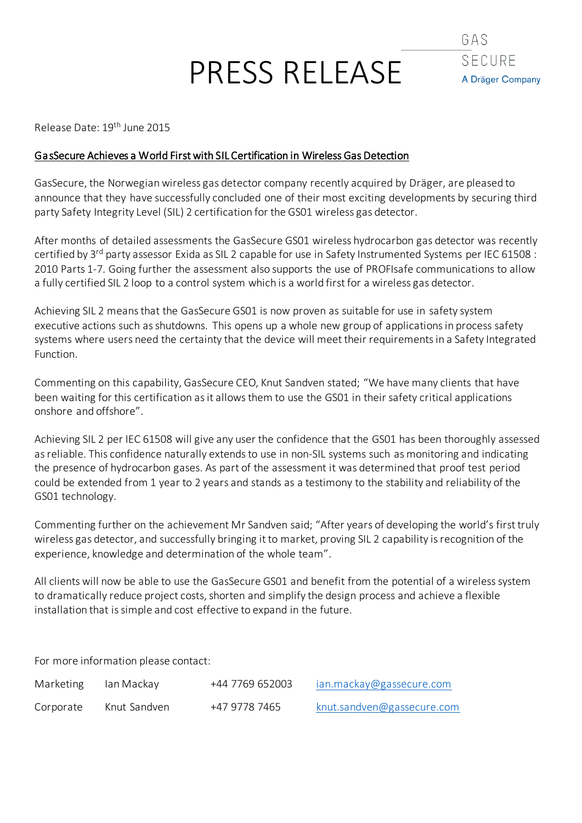# PRESS RELEASE



Release Date: 19<sup>th</sup> June 2015

### GasSecure Achieves a World First with SIL Certification in Wireless Gas Detection

GasSecure, the Norwegian wireless gas detector company recently acquired by Dräger, are pleased to announce that they have successfully concluded one of their most exciting developments by securing third party Safety Integrity Level (SIL) 2 certification for the GS01 wireless gas detector.

After months of detailed assessments the GasSecure GS01 wireless hydrocarbon gas detector was recently certified by 3<sup>rd</sup> party assessor Exida as SIL 2 capable for use in Safety Instrumented Systems per IEC 61508 : 2010 Parts 1-7. Going further the assessment also supports the use of PROFIsafe communications to allow a fully certified SIL 2 loop to a control system which is a world first for a wireless gas detector.

Achieving SIL 2 means that the GasSecure GS01 is now proven as suitable for use in safety system executive actions such as shutdowns. This opens up a whole new group of applications in process safety systems where users need the certainty that the device will meet their requirements in a Safety Integrated Function.

Commenting on this capability, GasSecure CEO, Knut Sandven stated; "We have many clients that have been waiting for this certification as it allows them to use the GS01 in their safety critical applications onshore and offshore".

Achieving SIL 2 per IEC 61508 will give any user the confidence that the GS01 has been thoroughly assessed as reliable. This confidence naturally extends to use in non-SIL systems such as monitoring and indicating the presence of hydrocarbon gases. As part of the assessment it was determined that proof test period could be extended from 1 year to 2 years and stands as a testimony to the stability and reliability of the GS01 technology.

Commenting further on the achievement Mr Sandven said; "After years of developing the world's first truly wireless gas detector, and successfully bringing it to market, proving SIL 2 capability is recognition of the experience, knowledge and determination of the whole team".

All clients will now be able to use the GasSecure GS01 and benefit from the potential of a wireless system to dramatically reduce project costs, shorten and simplify the design process and achieve a flexible installation that is simple and cost effective to expand in the future.

For more information please contact:

| Marketing | lan Mackay   | +44 7769 652003 | ian.mackay@gassecure.com   |
|-----------|--------------|-----------------|----------------------------|
| Corporate | Knut Sandven | +47 9778 7465   | knut.sandven@gassecure.com |